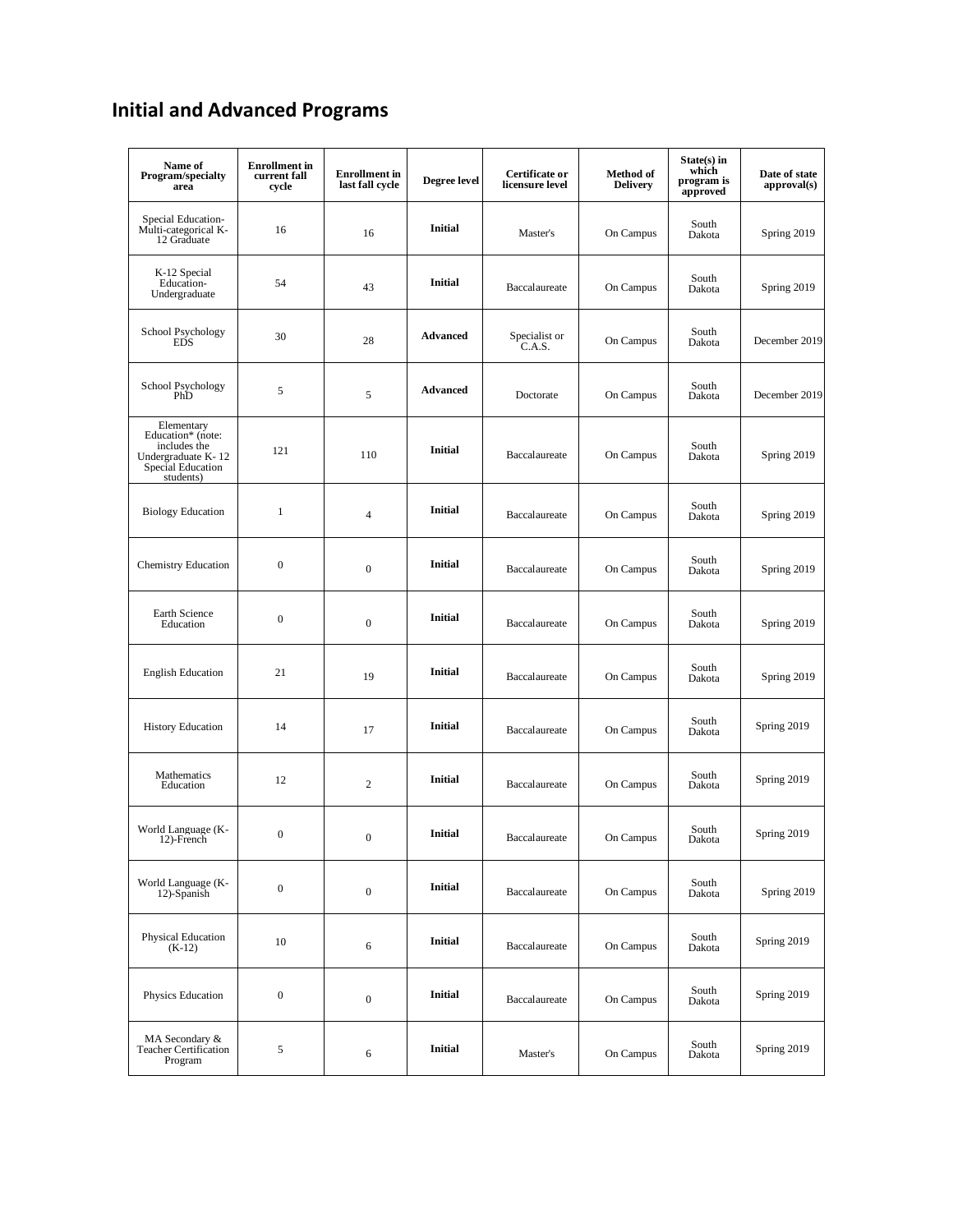## **Initial and Advanced Programs**

| Name of<br><b>Program/specialty</b><br>area                                                             | <b>Enrollment</b> in<br>current fall<br>cycle | <b>Enrollment</b> in<br>last fall cycle | Degree level    | Certificate or<br>licensure level | <b>Method of</b><br><b>Delivery</b> | $State(s)$ in<br>which<br>program is<br>approved | Date of state<br>approval(s) |
|---------------------------------------------------------------------------------------------------------|-----------------------------------------------|-----------------------------------------|-----------------|-----------------------------------|-------------------------------------|--------------------------------------------------|------------------------------|
| Special Education-<br>Multi-categorical K-<br>12 Graduate                                               | 16                                            | 16                                      | <b>Initial</b>  | Master's                          | On Campus                           | South<br>Dakota                                  | Spring 2019                  |
| K-12 Special<br>Education-<br>Undergraduate                                                             | 54                                            | 43                                      | <b>Initial</b>  | Baccalaureate                     | On Campus                           | South<br>Dakota                                  | Spring 2019                  |
| School Psychology<br><b>EDS</b>                                                                         | 30                                            | 28                                      | <b>Advanced</b> | Specialist or<br>C.A.S.           | On Campus                           | South<br>Dakota                                  | December 2019                |
| School Psychology<br>PhD                                                                                | 5                                             | 5                                       | <b>Advanced</b> | Doctorate                         | On Campus                           | South<br>Dakota                                  | December 2019                |
| Elementary<br>Education* (note:<br>includes the<br>Undergraduate K-12<br>Special Education<br>students) | 121                                           | 110                                     | <b>Initial</b>  | Baccalaureate                     | On Campus                           | South<br>Dakota                                  | Spring 2019                  |
| <b>Biology Education</b>                                                                                | $\mathbf{1}$                                  | $\overline{4}$                          | <b>Initial</b>  | Baccalaureate                     | On Campus                           | South<br>Dakota                                  | Spring 2019                  |
| <b>Chemistry Education</b>                                                                              | $\boldsymbol{0}$                              | $\boldsymbol{0}$                        | <b>Initial</b>  | Baccalaureate                     | On Campus                           | South<br>Dakota                                  | Spring 2019                  |
| Earth Science<br>Education                                                                              | $\boldsymbol{0}$                              | $\boldsymbol{0}$                        | <b>Initial</b>  | Baccalaureate                     | On Campus                           | South<br>Dakota                                  | Spring 2019                  |
| <b>English Education</b>                                                                                | 21                                            | 19                                      | <b>Initial</b>  | Baccalaureate                     | On Campus                           | South<br>Dakota                                  | Spring 2019                  |
| <b>History Education</b>                                                                                | 14                                            | 17                                      | <b>Initial</b>  | Baccalaureate                     | On Campus                           | South<br>Dakota                                  | Spring 2019                  |
| Mathematics<br>Education                                                                                | 12                                            | $\boldsymbol{2}$                        | <b>Initial</b>  | Baccalaureate                     | On Campus                           | South<br>Dakota                                  | Spring 2019                  |
| World Language (K-<br>12)-French                                                                        | $\boldsymbol{0}$                              | $\boldsymbol{0}$                        | <b>Initial</b>  | Baccalaureate                     | On Campus                           | South<br>Dakota                                  | Spring 2019                  |
| World Language (K-<br>12)-Spanish                                                                       | $\boldsymbol{0}$                              | $\boldsymbol{0}$                        | <b>Initial</b>  | Baccalaureate                     | On Campus                           | South<br>Dakota                                  | Spring 2019                  |
| <b>Physical Education</b><br>$(K-12)$                                                                   | 10                                            | 6                                       | <b>Initial</b>  | Baccalaureate                     | On Campus                           | South<br>Dakota                                  | Spring 2019                  |
| Physics Education                                                                                       | $\boldsymbol{0}$                              | $\boldsymbol{0}$                        | <b>Initial</b>  | Baccalaureate                     | On Campus                           | South<br>Dakota                                  | Spring 2019                  |
| MA Secondary &<br><b>Teacher Certification</b><br>Program                                               | 5                                             | 6                                       | <b>Initial</b>  | Master's                          | On Campus                           | South<br>Dakota                                  | Spring 2019                  |